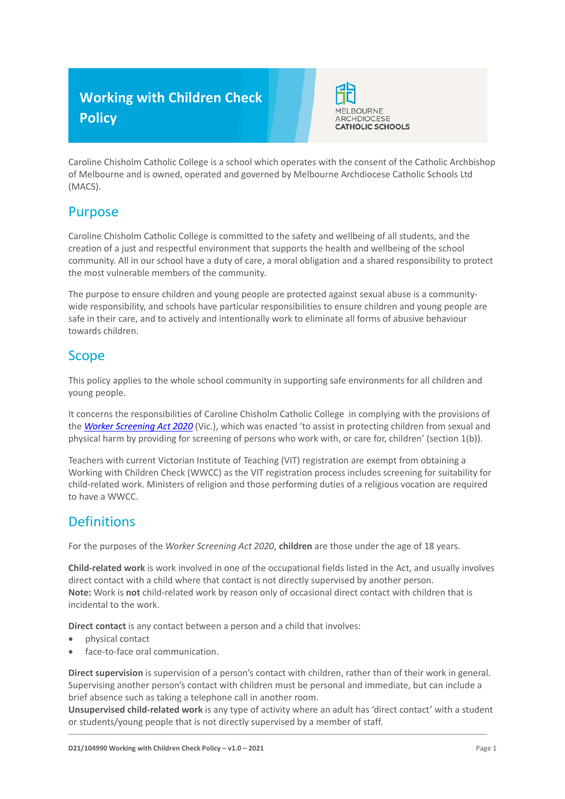# **Working with Children Check Policy**



Caroline Chisholm Catholic College is a school which operates with the consent of the Catholic Archbishop of Melbourne and is owned, operated and governed by Melbourne Archdiocese Catholic Schools Ltd (MACS).

### Purpose

Caroline Chisholm Catholic College is committed to the safety and wellbeing of all students, and the creation of a just and respectful environment that supports the health and wellbeing of the school community. All in our school have a duty of care, a moral obligation and a shared responsibility to protect the most vulnerable members of the community.

The purpose to ensure children and young people are protected against sexual abuse is a communitywide responsibility, and schools have particular responsibilities to ensure children and young people are safe in their care, and to actively and intentionally work to eliminate all forms of abusive behaviour towards children.

#### Scope

This policy applies to the whole school community in supporting safe environments for all children and young people.

It concerns the responsibilities of Caroline Chisholm Catholic College in complying with the provisions of the *[Worker Screening Act 2020](https://www.legislation.vic.gov.au/as-made/acts/worker-screening-act-2020)* (Vic.), which was enacted 'to assist in protecting children from sexual and physical harm by providing for screening of persons who work with, or care for, children' (section 1(b)).

Teachers with current Victorian Institute of Teaching (VIT) registration are exempt from obtaining a Working with Children Check (WWCC) as the VIT registration process includes screening for suitability for child-related work. Ministers of religion and those performing duties of a religious vocation are required to have a WWCC.

### **Definitions**

For the purposes of the *Worker Screening Act 2020*, **children** are those under the age of 18 years.

**Child-related work** is work involved in one of the occupational fields listed in the Act, and usually involves direct contact with a child where that contact is not directly supervised by another person. **Note:** Work is **not** child-related work by reason only of occasional direct contact with children that is incidental to the work.

**Direct contact** is any contact between a person and a child that involves:

- physical contact
- face-to-face oral communication.

**Direct supervision** is supervision of a person's contact with children, rather than of their work in general. Supervising another person's contact with children must be personal and immediate, but can include a brief absence such as taking a telephone call in another room.

**Unsupervised child-related work** is any type of activity where an adult has 'direct contact' with a student or students/young people that is not directly supervised by a member of staff.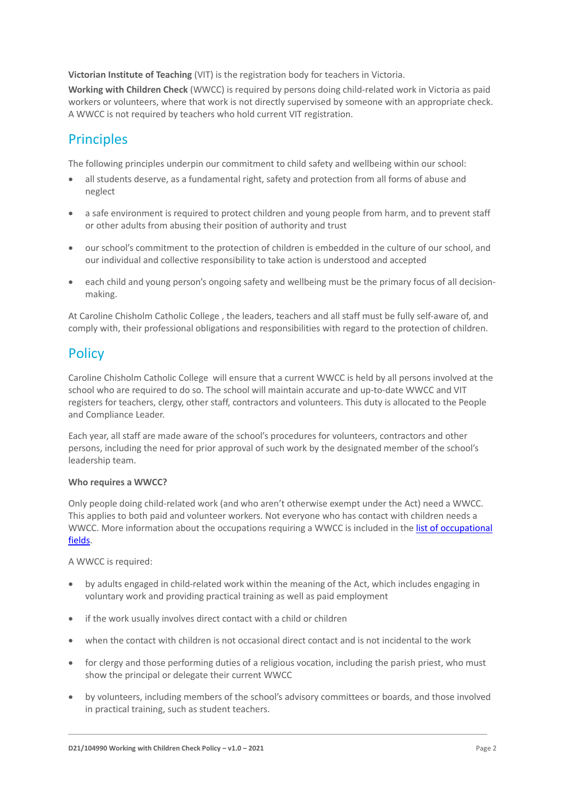**Victorian Institute of Teaching** (VIT) is the registration body for teachers in Victoria.

**Working with Children Check** (WWCC) is required by persons doing child-related work in Victoria as paid workers or volunteers, where that work is not directly supervised by someone with an appropriate check. A WWCC is not required by teachers who hold current VIT registration.

## **Principles**

The following principles underpin our commitment to child safety and wellbeing within our school:

- all students deserve, as a fundamental right, safety and protection from all forms of abuse and neglect
- a safe environment is required to protect children and young people from harm, and to prevent staff or other adults from abusing their position of authority and trust
- our school's commitment to the protection of children is embedded in the culture of our school, and our individual and collective responsibility to take action is understood and accepted
- each child and young person's ongoing safety and wellbeing must be the primary focus of all decisionmaking.

At Caroline Chisholm Catholic College , the leaders, teachers and all staff must be fully self-aware of, and comply with, their professional obligations and responsibilities with regard to the protection of children.

# **Policy**

Caroline Chisholm Catholic College will ensure that a current WWCC is held by all persons involved at the school who are required to do so. The school will maintain accurate and up-to-date WWCC and VIT registers for teachers, clergy, other staff, contractors and volunteers. This duty is allocated to the People and Compliance Leader.

Each year, all staff are made aware of the school's procedures for volunteers, contractors and other persons, including the need for prior approval of such work by the designated member of the school's leadership team.

#### **Who requires a WWCC?**

Only people doing child-related work (and who aren't otherwise exempt under the Act) need a WWCC. This applies to both paid and volunteer workers. Not everyone who has contact with children needs a WWCC. More information about the occupations requiring a WWCC is included in the list of occupational [fields.](https://www.workingwithchildren.vic.gov.au/about-the-check/resources/list-of-occupational-fields)

A WWCC is required:

- by adults engaged in child-related work within the meaning of the Act, which includes engaging in voluntary work and providing practical training as well as paid employment
- if the work usually involves direct contact with a child or children
- when the contact with children is not occasional direct contact and is not incidental to the work
- for clergy and those performing duties of a religious vocation, including the parish priest, who must show the principal or delegate their current WWCC
- by volunteers, including members of the school's advisory committees or boards, and those involved in practical training, such as student teachers.